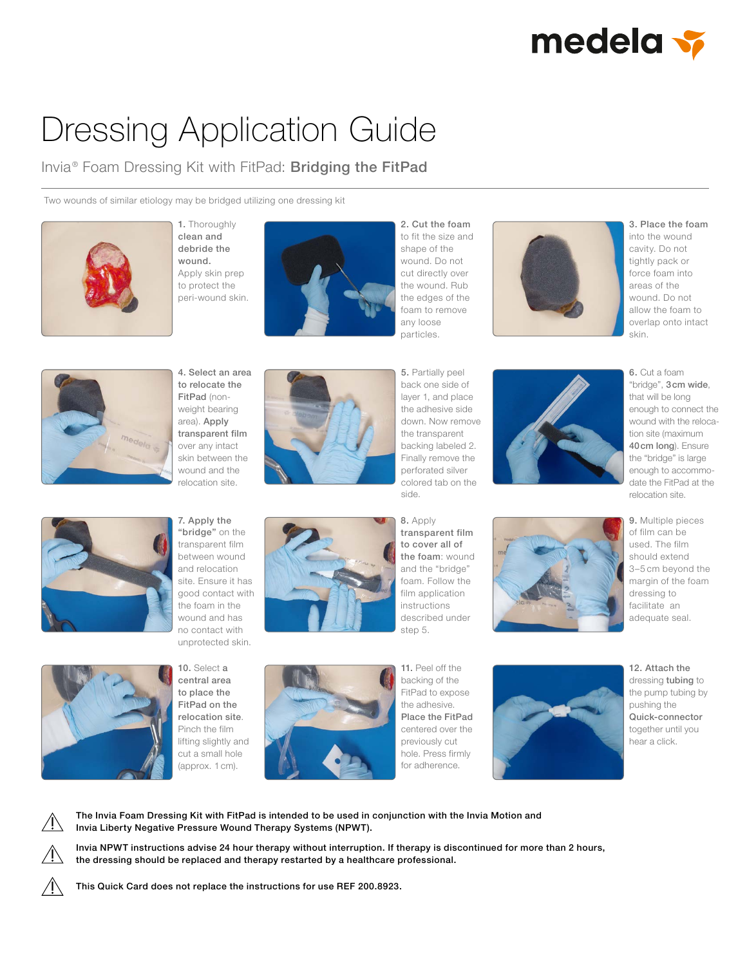

## Dressing Application Guide

Invia<sup>®</sup> Foam Dressing Kit with FitPad: Bridging the FitPad

Two wounds of similar etiology may be bridged utilizing one dressing kit



1. Thoroughly clean and debride the wound. Apply skin prep to protect the peri-wound skin.



2. Cut the foam to fit the size and shape of the wound. Do not cut directly over the wound. Rub the edges of the foam to remove any loose



3. Place the foam into the wound cavity. Do not tightly pack or force foam into areas of the wound. Do not allow the foam to overlap onto intact skin.



4. Select an area to relocate the FitPad (nonweight bearing area). Apply transparent film over any intact skin between the wound and the relocation site.



particles. 5. Partially peel back one side of layer 1, and place the adhesive side down. Now remove the transparent backing labeled 2. Finally remove the



9. Multiple pieces of film can be used. The film should extend 3–5 cm beyond the margin of the foam dressing to facilitate an adequate seal.



7. Apply the "bridge" on the transparent film between wound and relocation site. Ensure it has good contact with the foam in the wound and has no contact with unprotected skin.



transparent film to cover all of the foam: wound and the "bridge" foam. Follow the film application instructions described under step 5.





10. Select a central area to place the FitPad on the relocation site. Pinch the film lifting slightly and cut a small hole (approx. 1 cm).



11. Peel off the backing of the FitPad to expose the adhesive. Place the FitPad centered over the previously cut hole. Press firmly for adherence.



12. Attach the dressing tubing to the pump tubing by pushing the Quick-connector together until you hear a click.

The Invia Foam Dressing Kit with FitPad is intended to be used in conjunction with the Invia Motion and Invia Liberty Negative Pressure Wound Therapy Systems (NPWT).

Invia NPWT instructions advise 24 hour therapy without interruption. If therapy is discontinued for more than 2 hours, the dressing should be replaced and therapy restarted by a healthcare professional.

This Quick Card does not replace the instructions for use REF 200.8923.



8. Apply

perforated silver colored tab on the

side.